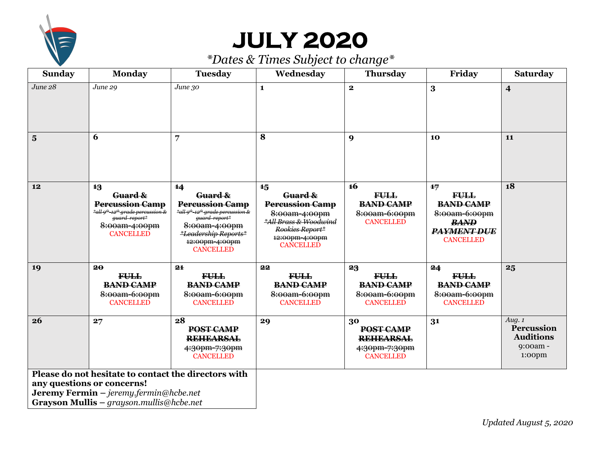

# **JULY 2020**

| <b>Sunday</b>                                                                                                                                                                            | <b>Monday</b>                                                                                                                                              | <b>Tuesday</b>                                                                                                                                                                                        | Wednesday                                                                                                                                  | <b>Thursday</b>                                                                   | Friday                                                                                                          | Saturday                                                               |
|------------------------------------------------------------------------------------------------------------------------------------------------------------------------------------------|------------------------------------------------------------------------------------------------------------------------------------------------------------|-------------------------------------------------------------------------------------------------------------------------------------------------------------------------------------------------------|--------------------------------------------------------------------------------------------------------------------------------------------|-----------------------------------------------------------------------------------|-----------------------------------------------------------------------------------------------------------------|------------------------------------------------------------------------|
| June 28                                                                                                                                                                                  | June 29                                                                                                                                                    | June 30                                                                                                                                                                                               | $\mathbf{1}$                                                                                                                               | $\mathbf{2}$                                                                      | $\bf{3}$                                                                                                        | $\overline{\mathbf{4}}$                                                |
| $\overline{\mathbf{5}}$                                                                                                                                                                  | 6                                                                                                                                                          | 7                                                                                                                                                                                                     | 8                                                                                                                                          | 9                                                                                 | 10                                                                                                              | 11                                                                     |
| 12                                                                                                                                                                                       | 13<br>Guard &<br><b>Percussion Camp</b><br>*all 9 <sup>th</sup> -12 <sup>th</sup> grade percussion &<br>guard report*<br>8:00am-4:00pm<br><b>CANCELLED</b> | 14<br>Guard &<br><b>Percussion Camp</b><br>*all 9 <sup>th</sup> -12 <sup>th</sup> -grade percussion &<br>guard report*<br>8:00am-4:00pm<br>*Leadership Reports*<br>12:00pm-4:00pm<br><b>CANCELLED</b> | 15<br>Guard &<br><b>Percussion Camp</b><br>8:00am-4:00pm<br>*All Brass & Woodwind<br>Rookies Report*<br>12:00pm-4:00pm<br><b>CANCELLED</b> | <b>16</b><br><b>FULL</b><br><b>BAND CAMP</b><br>8:00am-6:00pm<br><b>CANCELLED</b> | 17<br><b>FULL</b><br><b>BAND CAMP</b><br>8:00am-6:00pm<br><b>BAND</b><br><b>PAYMENT DUE</b><br><b>CANCELLED</b> | 18                                                                     |
| 19                                                                                                                                                                                       | 20<br><b>FULL</b><br><b>BAND CAMP</b><br>8:00am-6:00pm<br><b>CANCELLED</b>                                                                                 | 21<br><b>FULL</b><br><b>BAND CAMP</b><br>8:00am-6:00pm<br><b>CANCELLED</b>                                                                                                                            | 22<br><b>FULL</b><br><b>BAND CAMP</b><br>8:00am-6:00pm<br><b>CANCELLED</b>                                                                 | 23<br><b>FULL</b><br><b>BAND CAMP</b><br>8:00am-6:00pm<br><b>CANCELLED</b>        | 24<br><b>FULL</b><br><b>BAND CAMP</b><br>8:00am-6:00pm<br><b>CANCELLED</b>                                      | 25                                                                     |
| 26                                                                                                                                                                                       | 27                                                                                                                                                         | 28<br>POST CAMP<br><b>REHEARSAL</b><br>4:30pm-7:30pm<br><b>CANCELLED</b>                                                                                                                              | 29                                                                                                                                         | 30<br>POST CAMP<br><b>REHEARSAL</b><br>4:30pm-7:30pm<br><b>CANCELLED</b>          | 31                                                                                                              | Aug. $1$<br>Percussion<br><b>Auditions</b><br>9:00am -<br>$1:00$ $\mu$ |
| Please do not hesitate to contact the directors with<br>any questions or concerns!<br><b>Jeremy Fermin</b> $-$ jeremy fermin@hcbe.net<br><b>Grayson Mullis</b> – grayson.mullis@hcbe.net |                                                                                                                                                            |                                                                                                                                                                                                       |                                                                                                                                            |                                                                                   |                                                                                                                 |                                                                        |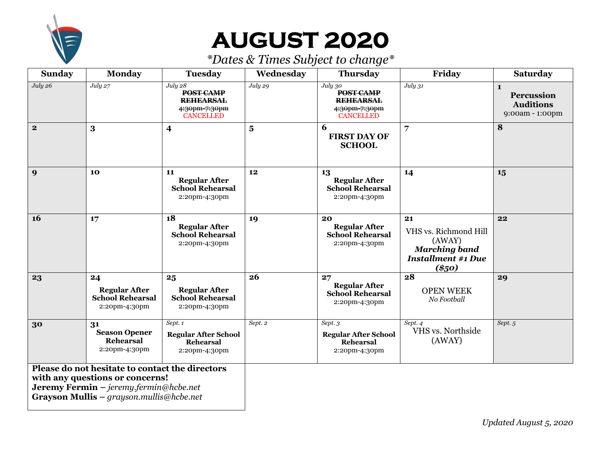

## **AUGUST 2020**

| <b>Sunday</b>                                                                                                                                                                            | <b>Monday</b>                                                          | <b>Tuesday</b>                                                                | Wednesday               | <b>Thursday</b>                                                                      | Friday                                                                                                | <b>Saturday</b>                                                          |
|------------------------------------------------------------------------------------------------------------------------------------------------------------------------------------------|------------------------------------------------------------------------|-------------------------------------------------------------------------------|-------------------------|--------------------------------------------------------------------------------------|-------------------------------------------------------------------------------------------------------|--------------------------------------------------------------------------|
| July 26                                                                                                                                                                                  | July 27                                                                | July 28<br>POST CAMP<br><b>REHEARSAL</b><br>4:30pm-7:30pm<br><b>CANCELLED</b> | July 29                 | July 30<br><b>POST CAMP</b><br><b>REHEARSAL</b><br>4:30pm-7:30pm<br><b>CANCELLED</b> | July 31                                                                                               | $\mathbf{1}$<br><b>Percussion</b><br><b>Auditions</b><br>9:00am - 1:00pm |
| $\overline{\mathbf{2}}$                                                                                                                                                                  | 3                                                                      | $\overline{\mathbf{4}}$                                                       | $\overline{\mathbf{5}}$ | 6<br><b>FIRST DAY OF</b><br><b>SCHOOL</b>                                            | $\overline{7}$                                                                                        | 8                                                                        |
| 9                                                                                                                                                                                        | 10                                                                     | 11<br><b>Regular After</b><br><b>School Rehearsal</b><br>2:20pm-4:30pm        | 12                      | 13<br><b>Regular After</b><br><b>School Rehearsal</b><br>2:20pm-4:30pm               | 14                                                                                                    | 15                                                                       |
| <b>16</b>                                                                                                                                                                                | 17                                                                     | 18<br><b>Regular After</b><br><b>School Rehearsal</b><br>2:20pm-4:30pm        | 19                      | 20<br><b>Regular After</b><br><b>School Rehearsal</b><br>2:20pm-4:30pm               | 21<br>VHS vs. Richmond Hill<br>(AWAY)<br><b>Marching band</b><br><b>Installment #1 Due</b><br>$(*50)$ | 22                                                                       |
| 23                                                                                                                                                                                       | 24<br><b>Regular After</b><br><b>School Rehearsal</b><br>2:20pm-4:30pm | 25<br><b>Regular After</b><br><b>School Rehearsal</b><br>2:20pm-4:30pm        | 26                      | 27<br><b>Regular After</b><br><b>School Rehearsal</b><br>2:20pm-4:30pm               | 28<br><b>OPEN WEEK</b><br>No Football                                                                 | 29                                                                       |
| 30                                                                                                                                                                                       | 31<br><b>Season Opener</b><br><b>Rehearsal</b><br>2:20pm-4:30pm        | Sept. 1<br><b>Regular After School</b><br><b>Rehearsal</b><br>2:20pm-4:30pm   | Sept. 2                 | Sept. 3<br><b>Regular After School</b><br><b>Rehearsal</b><br>2:20pm-4:30pm          | Sept. 4<br>VHS vs. Northside<br>(AWAY)                                                                | Sept. 5                                                                  |
| Please do not hesitate to contact the directors<br>with any questions or concerns!<br><b>Jeremy Fermin</b> $-$ jeremy fermin@hcbe.net<br><b>Grayson Mullis</b> – grayson.mullis@hcbe.net |                                                                        |                                                                               |                         |                                                                                      |                                                                                                       |                                                                          |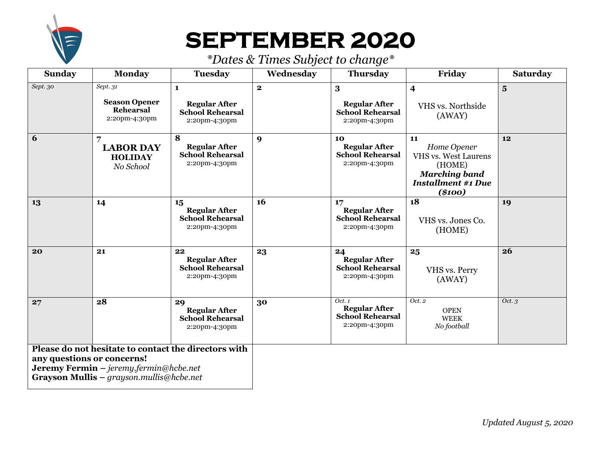

# **SEPTEMBER 2020**

| <b>Sunday</b>                                                                                                                                                                   | <b>Monday</b>                                                        | <b>Tuesday</b>                                                                   | Wednesday    | <b>Thursday</b>                                                           | Friday                                                                                                                      | <b>Saturday</b>         |
|---------------------------------------------------------------------------------------------------------------------------------------------------------------------------------|----------------------------------------------------------------------|----------------------------------------------------------------------------------|--------------|---------------------------------------------------------------------------|-----------------------------------------------------------------------------------------------------------------------------|-------------------------|
| Sept. 30                                                                                                                                                                        | Sept.31<br><b>Season Opener</b><br><b>Rehearsal</b><br>2:20pm-4:30pm | $\mathbf{1}$<br><b>Regular After</b><br><b>School Rehearsal</b><br>2:20pm-4:30pm | $\mathbf{2}$ | 3<br><b>Regular After</b><br><b>School Rehearsal</b><br>2:20pm-4:30pm     | $\overline{\mathbf{4}}$<br>VHS vs. Northside<br>(AWAY)                                                                      | $\overline{\mathbf{5}}$ |
| 6                                                                                                                                                                               | 7<br><b>LABOR DAY</b><br><b>HOLIDAY</b><br>No School                 | 8<br><b>Regular After</b><br><b>School Rehearsal</b><br>2:20pm-4:30pm            | 9            | 10<br><b>Regular After</b><br><b>School Rehearsal</b><br>2:20pm-4:30pm    | 11<br>Home Opener<br><b>VHS vs. West Laurens</b><br>(HOME)<br><b>Marching band</b><br><b>Installment #1 Due</b><br>$(*100)$ | 12                      |
| 13                                                                                                                                                                              | 14                                                                   | 15<br><b>Regular After</b><br><b>School Rehearsal</b><br>2:20pm-4:30pm           | <b>16</b>    | 17<br><b>Regular After</b><br><b>School Rehearsal</b><br>2:20pm-4:30pm    | 18<br>VHS vs. Jones Co.<br>(HOME)                                                                                           | 19                      |
| 20                                                                                                                                                                              | 21                                                                   | 22<br><b>Regular After</b><br><b>School Rehearsal</b><br>2:20pm-4:30pm           | 23           | 24<br><b>Regular After</b><br><b>School Rehearsal</b><br>2:20pm-4:30pm    | 25<br>VHS vs. Perry<br>(AWAY)                                                                                               | 26                      |
| 27                                                                                                                                                                              | 28                                                                   | 29<br><b>Regular After</b><br><b>School Rehearsal</b><br>2:20pm-4:30pm           | 30           | Oct.1<br><b>Regular After</b><br><b>School Rehearsal</b><br>2:20pm-4:30pm | Oct. 2<br><b>OPEN</b><br><b>WEEK</b><br>No football                                                                         | Oct. $3$                |
| Please do not hesitate to contact the directors with<br>any questions or concerns!<br>Jeremy Fermin - jeremy.fermin@hcbe.net<br><b>Grayson Mullis</b> – grayson.mullis@hcbe.net |                                                                      |                                                                                  |              |                                                                           |                                                                                                                             |                         |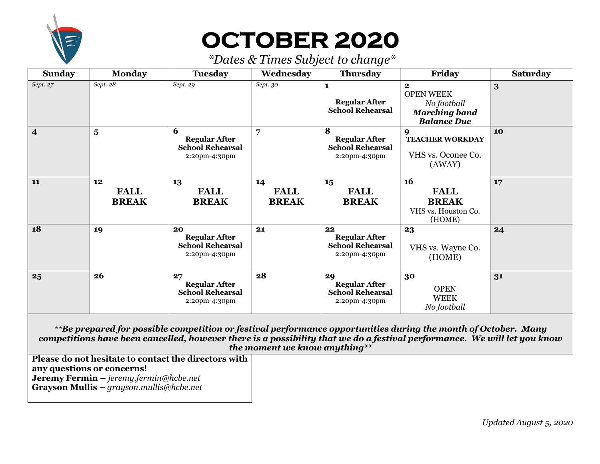

# **OCTOBER 2020**

*\*Dates & Times Subject to change\**

| <b>Sunday</b>           | <b>Monday</b>                     | <b>Tuesday</b>                                                         | Wednesday                         | <b>Thursday</b>                                                        | Friday                                                                                        | <b>Saturday</b> |
|-------------------------|-----------------------------------|------------------------------------------------------------------------|-----------------------------------|------------------------------------------------------------------------|-----------------------------------------------------------------------------------------------|-----------------|
| Sept. 27                | Sept. 28                          | Sept. 29                                                               | Sept. 30                          | <b>Regular After</b><br><b>School Rehearsal</b>                        | $\mathbf{2}$<br><b>OPEN WEEK</b><br>No football<br><b>Marching band</b><br><b>Balance Due</b> | 3               |
| $\overline{\mathbf{4}}$ | $\overline{\mathbf{5}}$           | 6<br><b>Regular After</b><br><b>School Rehearsal</b><br>2:20pm-4:30pm  | 7                                 | 8<br><b>Regular After</b><br><b>School Rehearsal</b><br>2:20pm-4:30pm  | 9<br><b>TEACHER WORKDAY</b><br>VHS vs. Oconee Co.<br>(AWAY)                                   | <b>10</b>       |
| 11                      | 12<br><b>FALL</b><br><b>BREAK</b> | 13<br><b>FALL</b><br><b>BREAK</b>                                      | 14<br><b>FALL</b><br><b>BREAK</b> | 15<br><b>FALL</b><br><b>BREAK</b>                                      | 16<br><b>FALL</b><br><b>BREAK</b><br>VHS vs. Houston Co.<br>(HOME)                            | 17              |
| 18                      | 19                                | 20<br><b>Regular After</b><br><b>School Rehearsal</b><br>2:20pm-4:30pm | 21                                | 22<br><b>Regular After</b><br><b>School Rehearsal</b><br>2:20pm-4:30pm | 23<br>VHS vs. Wayne Co.<br>(HOME)                                                             | 24              |
| 25                      | 26                                | 27<br><b>Regular After</b><br><b>School Rehearsal</b><br>2:20pm-4:30pm | 28                                | 29<br><b>Regular After</b><br><b>School Rehearsal</b><br>2:20pm-4:30pm | 30<br><b>OPEN</b><br><b>WEEK</b><br>No football                                               | 31              |

*\*\*Be prepared for possible competition or festival performance opportunities during the month of October. Many competitions have been cancelled, however there is a possibility that we do a festival performance. We will let you know the moment we know anything\*\**

**Please do not hesitate to contact the directors with any questions or concerns! Jeremy Fermin –** *jeremy.fermin@hcbe.net* **Grayson Mullis –** *grayson.mullis@hcbe.net*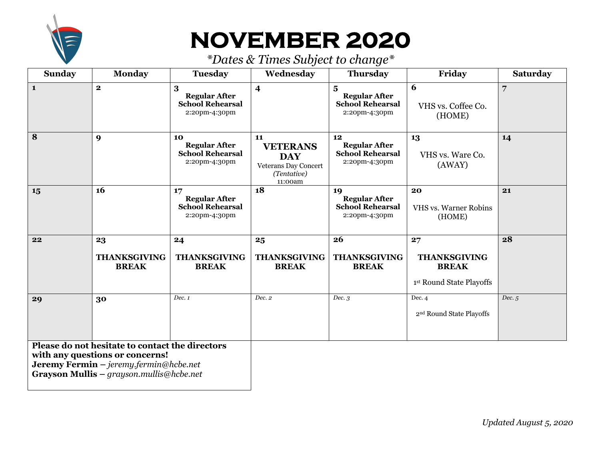

# **NOVEMBER 2020**

| <b>Sunday</b>                                                                                                                                                            | <b>Monday</b>                             | <b>Tuesday</b>                                                         | Wednesday                                                                                    | <b>Thursday</b>                                                        | Friday                                                                | <b>Saturday</b> |
|--------------------------------------------------------------------------------------------------------------------------------------------------------------------------|-------------------------------------------|------------------------------------------------------------------------|----------------------------------------------------------------------------------------------|------------------------------------------------------------------------|-----------------------------------------------------------------------|-----------------|
| $\mathbf{1}$                                                                                                                                                             | $\mathbf{2}$                              | 3<br><b>Regular After</b><br><b>School Rehearsal</b><br>2:20pm-4:30pm  | $\overline{\mathbf{4}}$                                                                      | 5<br><b>Regular After</b><br><b>School Rehearsal</b><br>2:20pm-4:30pm  | 6<br>VHS vs. Coffee Co.<br>(HOME)                                     | 7               |
| 8                                                                                                                                                                        | $\boldsymbol{9}$                          | 10<br><b>Regular After</b><br><b>School Rehearsal</b><br>2:20pm-4:30pm | 11<br><b>VETERANS</b><br><b>DAY</b><br><b>Veterans Day Concert</b><br>(Tentative)<br>11:00am | 12<br><b>Regular After</b><br><b>School Rehearsal</b><br>2:20pm-4:30pm | 13<br>VHS vs. Ware Co.<br>(AWAY)                                      | 14              |
| 15                                                                                                                                                                       | 16                                        | 17<br><b>Regular After</b><br><b>School Rehearsal</b><br>2:20pm-4:30pm | 18                                                                                           | 19<br><b>Regular After</b><br><b>School Rehearsal</b><br>2:20pm-4:30pm | 20<br><b>VHS vs. Warner Robins</b><br>(HOME)                          | 21              |
| 22                                                                                                                                                                       | 23<br><b>THANKSGIVING</b><br><b>BREAK</b> | 24<br><b>THANKSGIVING</b><br><b>BREAK</b>                              | 25<br><b>THANKSGIVING</b><br><b>BREAK</b>                                                    | 26<br><b>THANKSGIVING</b><br><b>BREAK</b>                              | 27<br><b>THANKSGIVING</b><br><b>BREAK</b><br>1st Round State Playoffs | 28              |
| 29                                                                                                                                                                       | 30                                        | Dec. 1                                                                 | Dec. 2                                                                                       | Dec.3                                                                  | Dec. 4<br>2 <sup>nd</sup> Round State Playoffs                        | Dec.5           |
| Please do not hesitate to contact the directors<br>with any questions or concerns!<br>Jeremy Fermin - jeremy.fermin@hcbe.net<br>Grayson Mullis - grayson.mullis@hcbe.net |                                           |                                                                        |                                                                                              |                                                                        |                                                                       |                 |